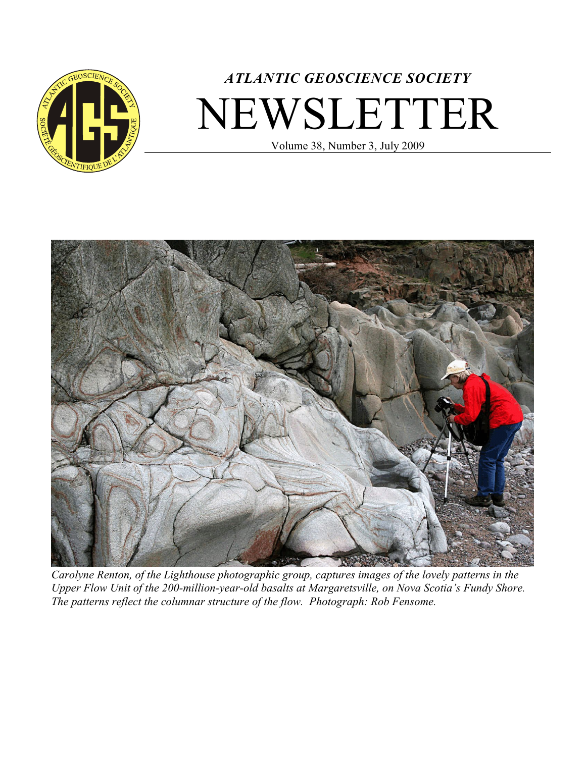

# *ATLANTIC GEOSCIENCE SOCIETY* NEWSLETTER

Volume 38, Number 3, July 2009



*Carolyne Renton, of the Lighthouse photographic group, captures images of the lovely patterns in the Upper Flow Unit of the 200-million-year-old basalts at Margaretsville, on Nova Scotia's Fundy Shore. The patterns reflect the columnar structure of the flow. Photograph: Rob Fensome.*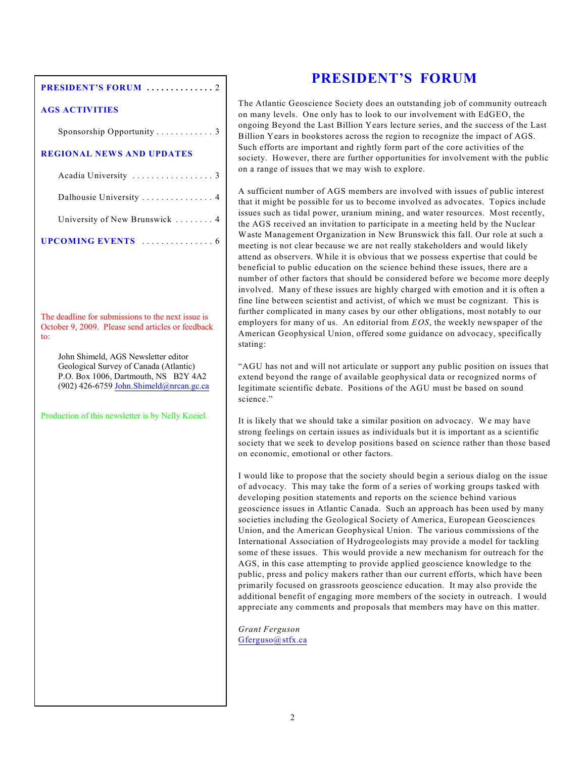#### **PRESIDENT'S FORUM .... .... .... . .** 2

#### **AGS ACTIVITIES**

Sponsorship Opportunity . . . . . . . . . . . . 3

#### **REGIONAL NEWS AND UPDATES**

| University of New Brunswick  4 |  |  |  |  |  |
|--------------------------------|--|--|--|--|--|
| <b>UPCOMING EVENTS</b> 6       |  |  |  |  |  |

The deadline for submissions to the next issue is October 9, 2009. Please send articles or feedback to:

John Shimeld, AGS Newsletter editor Geological Survey of Canada (Atlantic) P.O. Box 1006, Dartmouth, NS B2Y 4A2 (902) 426-6759 [John.Shimeld@nrcan.gc.ca](#page-1-0)

Production of this newsletter is by Nelly Koziel.

## **PRESIDENT'S FORUM**

The Atlantic Geoscience Society does an outstanding job of community outreach on many levels. One only has to look to our involvement with EdGEO, the ongoing Beyond the Last Billion Years lecture series, and the success of the Last Billion Years in bookstores across the region to recognize the impact of AGS. Such efforts are important and rightly form part of the core activities of the society. However, there are further opportunities for involvement with the public on a range of issues that we may wish to explore.

A sufficient number of AGS members are involved with issues of public interest that it might be possible for us to become involved as advocates. Topics include issues such as tidal power, uranium mining, and water resources. Most recently, the AGS received an invitation to participate in a meeting held by the Nuclear Waste Management Organization in New Brunswick this fall. Our role at such a meeting is not clear because we are not really stakeholders and would likely attend as observers. While it is obvious that we possess expertise that could be beneficial to public education on the science behind these issues, there are a number of other factors that should be considered before we become more deeply involved. Many of these issues are highly charged with emotion and it is often a fine line between scientist and activist, of which we must be cognizant. This is further complicated in many cases by our other obligations, most notably to our employers for many of us. An editorial from *EOS*, the weekly newspaper of the American Geophysical Union, offered some guidance on advocacy, specifically stating:

"AGU has not and will not articulate or support any public position on issues that extend beyond the range of available geophysical data or recognized norms of legitimate scientific debate. Positions of the AGU must be based on sound science."

It is likely that we should take a similar position on advocacy. We may have strong feelings on certain issues as individuals but it is important as a scientific society that we seek to develop positions based on science rather than those based on economic, emotional or other factors.

I would like to propose that the society should begin a serious dialog on the issue of advocacy. This may take the form of a series of working groups tasked with developing position statements and reports on the science behind various geoscience issues in Atlantic Canada. Such an approach has been used by many societies including the Geological Society of America, European Geosciences Union, and the American Geophysical Union. The various commissions of the International Association of Hydrogeologists may provide a model for tackling some of these issues. This would provide a new mechanism for outreach for the AGS, in this case attempting to provide applied geoscience knowledge to the public, press and policy makers rather than our current efforts, which have been primarily focused on grassroots geoscience education. It may also provide the additional benefit of engaging more members of the society in outreach. I would appreciate any comments and proposals that members may have on this matter.

<span id="page-1-0"></span>*Grant Ferguson* [Gferguso@stfx.ca](mailto:Gferguso@stfx.ca)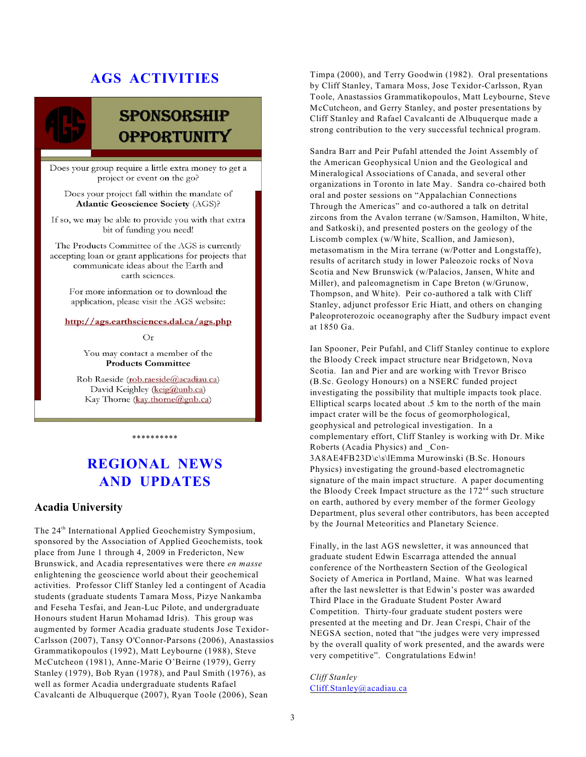## **AGS ACTIVITIES**

## **SPONSORSHIP OPPORTUNITY**

Does your group require a little extra money to get a project or event on the go?

Does your project fall within the mandate of **Atlantic Geoscience Society (AGS)?** 

If so, we may be able to provide you with that extra bit of funding you need!

The Products Committee of the AGS is currently accepting loan or grant applications for projects that communicate ideas about the Earth and earth sciences.

For more information or to download the application, please visit the AGS website:

#### http://ags.earthsciences.dal.ca/ags.php

#### $Or$

You may contact a member of the **Products Committee** 

Rob Raeside (rob.raeside@acadiau.ca) David Keighley (keig@unb.ca) Kay Thorne (kay.thorne@gnb.ca)

#### \*\*\*\*\*\*\*\*\*\*

## **REGIONAL NEWS AND UPDATES**

#### **Acadia University**

The 24<sup>th</sup> International Applied Geochemistry Symposium, sponsored by the Association of Applied Geochemists, took place from June 1 through 4, 2009 in Fredericton, New Brunswick, and Acadia representatives were there *en masse* enlightening the geoscience world about their geochemical activities. Professor Cliff Stanley led a contingent of Acadia students (graduate students Tamara Moss, Pizye Nankamba and Feseha Tesfai, and Jean-Luc Pilote, and undergraduate Honours student Harun Mohamad Idris). This group was augmented by former Acadia graduate students Jose Texidor-Carlsson (2007), Tansy O'Connor-Parsons (2006), Anastassios Grammatikopoulos (1992), Matt Leybourne (1988), Steve McCutcheon (1981), Anne-Marie O'Beirne (1979), Gerry Stanley (1979), Bob Ryan (1978), and Paul Smith (1976), as well as former Acadia undergraduate students Rafael Cavalcanti de Albuquerque (2007), Ryan Toole (2006), Sean

Timpa (2000), and Terry Goodwin (1982). Oral presentations by Cliff Stanley, Tamara Moss, Jose Texidor-Carlsson, Ryan Toole, Anastassios Grammatikopoulos, Matt Leybourne, Steve McCutcheon, and Gerry Stanley, and poster presentations by Cliff Stanley and Rafael Cavalcanti de Albuquerque made a strong contribution to the very successful technical program.

Sandra Barr and Peir Pufahl attended the Joint Assembly of the American Geophysical Union and the Geological and Mineralogical Associations of Canada, and several other organizations in Toronto in late May. Sandra co-chaired both oral and poster sessions on "Appalachian Connections Through the Americas" and co-authored a talk on detrital zircons from the Avalon terrane (w/Samson, Hamilton, White, and Satkoski), and presented posters on the geology of the Liscomb complex (w/White, Scallion, and Jamieson), metasomatism in the Mira terrane (w/Potter and Longstaffe), results of acritarch study in lower Paleozoic rocks of Nova Scotia and New Brunswick (w/Palacios, Jansen, White and Miller), and paleomagnetism in Cape Breton (w/Grunow, Thompson, and White). Peir co-authored a talk with Cliff Stanley, adjunct professor Eric Hiatt, and others on changing Paleoproterozoic oceanography after the Sudbury impact event at 1850 Ga.

Ian Spooner, Peir Pufahl, and Cliff Stanley continue to explore the Bloody Creek impact structure near Bridgetown, Nova Scotia. Ian and Pier and are working with Trevor Brisco (B.Sc. Geology Honours) on a NSERC funded project investigating the possibility that multiple impacts took place. Elliptical scarps located about .5 km to the north of the main impact crater will be the focus of geomorphological, geophysical and petrological investigation. In a complementary effort, Cliff Stanley is working with Dr. Mike Roberts (Acadia Physics) and \_Con-3A8AE4FB23D\c\s\lEmma Murowinski (B.Sc. Honours Physics) investigating the ground-based electromagnetic signature of the main impact structure. A paper documenting the Bloody Creek Impact structure as the  $172<sup>nd</sup>$  such structure on earth, authored by every member of the former Geology Department, plus several other contributors, has been accepted by the Journal Meteoritics and Planetary Science.

Finally, in the last AGS newsletter, it was announced that graduate student Edwin Escarraga attended the annual conference of the Northeastern Section of the Geological Society of America in Portland, Maine. What was learned after the last newsletter is that Edwin's poster was awarded Third Place in the Graduate Student Poster Award Competition. Thirty-four graduate student posters were presented at the meeting and Dr. Jean Crespi, Chair of the NEGSA section, noted that "the judges were very impressed by the overall quality of work presented, and the awards were very competitive". Congratulations Edwin!

*Cliff Stanley* [Cliff.Stanley@acadiau.ca](mailto:)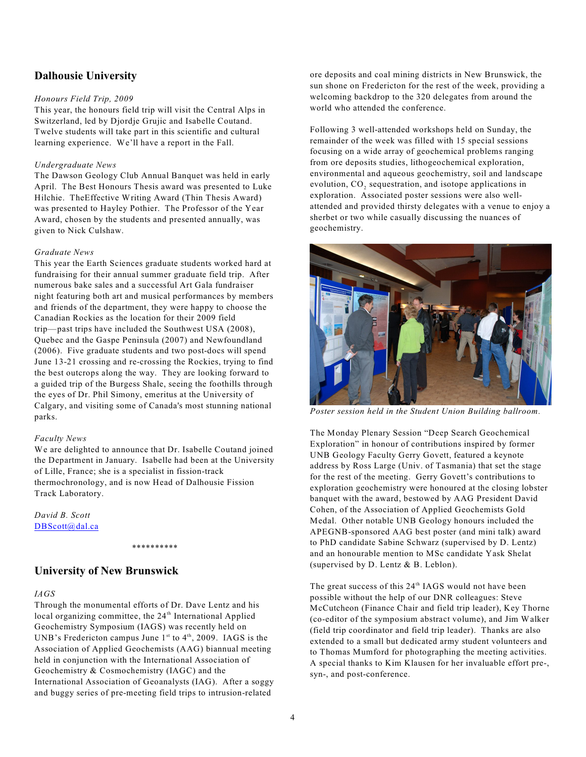#### **Dalhousie University**

#### *Honours Field Trip, 2009*

This year, the honours field trip will visit the Central Alps in Switzerland, led by Djordje Grujic and Isabelle Coutand. Twelve students will take part in this scientific and cultural learning experience. We'll have a report in the Fall.

#### *Undergraduate News*

The Dawson Geology Club Annual Banquet was held in early April. The Best Honours Thesis award was presented to Luke Hilchie. TheEffective Writing Award (Thin Thesis Award) was presented to Hayley Pothier. The Professor of the Year Award, chosen by the students and presented annually, was given to Nick Culshaw.

#### *Graduate News*

This year the Earth Sciences graduate students worked hard at fundraising for their annual summer graduate field trip. After numerous bake sales and a successful Art Gala fundraiser night featuring both art and musical performances by members and friends of the department, they were happy to choose the Canadian Rockies as the location for their 2009 field trip—past trips have included the Southwest USA (2008), Quebec and the Gaspe Peninsula (2007) and Newfoundland (2006). Five graduate students and two post-docs will spend June 13-21 crossing and re-crossing the Rockies, trying to find the best outcrops along the way. They are looking forward to a guided trip of the Burgess Shale, seeing the foothills through the eyes of Dr. Phil Simony, emeritus at the University of Calgary, and visiting some of Canada's most stunning national parks.

#### *Faculty News*

We are delighted to announce that Dr. Isabelle Coutand joined the Department in January. Isabelle had been at the University of Lille, France; she is a specialist in fission-track thermochronology, and is now Head of Dalhousie Fission Track Laboratory.

\*\*\*\*\*\*\*\*\*\*

*David B. Scott* DBScott@dal.ca

#### **University of New Brunswick**

#### *IAGS*

Through the monumental efforts of Dr. Dave Lentz and his local organizing committee, the 24<sup>th</sup> International Applied Geochemistry Symposium (IAGS) was recently held on UNB's Fredericton campus June  $1<sup>st</sup>$  to  $4<sup>th</sup>$ , 2009. IAGS is the Association of Applied Geochemists (AAG) biannual meeting held in conjunction with the International Association of Geochemistry & Cosmochemistry (IAGC) and the International Association of Geoanalysts (IAG). After a soggy and buggy series of pre-meeting field trips to intrusion-related

ore deposits and coal mining districts in New Brunswick, the sun shone on Fredericton for the rest of the week, providing a welcoming backdrop to the 320 delegates from around the world who attended the conference.

Following 3 well-attended workshops held on Sunday, the remainder of the week was filled with 15 special sessions focusing on a wide array of geochemical problems ranging from ore deposits studies, lithogeochemical exploration, environmental and aqueous geochemistry, soil and landscape evolution,  $\text{CO}_2$  sequestration, and isotope applications in exploration. Associated poster sessions were also wellattended and provided thirsty delegates with a venue to enjoy a sherbet or two while casually discussing the nuances of geochemistry.



*Poster session held in the Student Union Building ballroom.*

The Monday Plenary Session "Deep Search Geochemical Exploration" in honour of contributions inspired by former UNB Geology Faculty Gerry Govett, featured a keynote address by Ross Large (Univ. of Tasmania) that set the stage for the rest of the meeting. Gerry Govett's contributions to exploration geochemistry were honoured at the closing lobster banquet with the award, bestowed by AAG President David Cohen, of the Association of Applied Geochemists Gold Medal. Other notable UNB Geology honours included the APEGNB-sponsored AAG best poster (and mini talk) award to PhD candidate Sabine Schwarz (supervised by D. Lentz) and an honourable mention to MSc candidate Yask Shelat (supervised by D. Lentz & B. Leblon).

The great success of this  $24<sup>th</sup> IAGS$  would not have been possible without the help of our DNR colleagues: Steve McCutcheon (Finance Chair and field trip leader), Key Thorne (co-editor of the symposium abstract volume), and Jim Walker (field trip coordinator and field trip leader). Thanks are also extended to a small but dedicated army student volunteers and to Thomas Mumford for photographing the meeting activities. A special thanks to Kim Klausen for her invaluable effort pre-, syn-, and post-conference.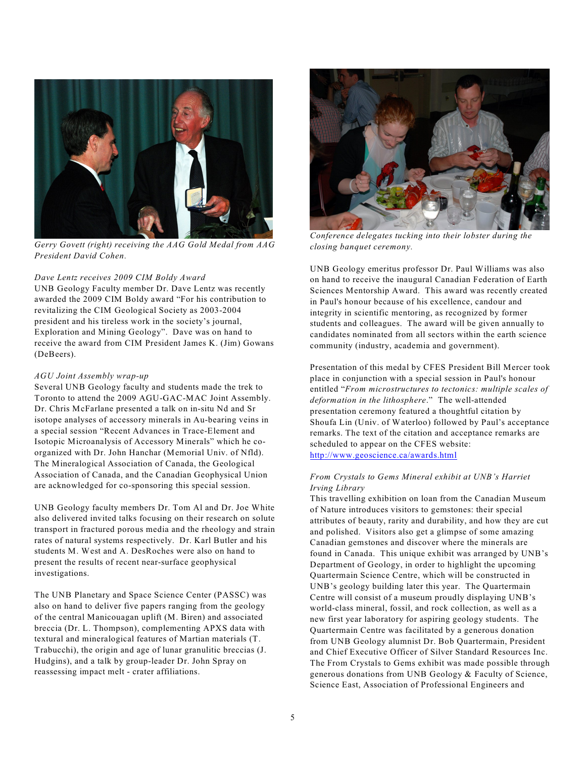

*Gerry Govett (right) receiving the AAG Gold Medal from AAG President David Cohen.*

#### *Dave Lentz receives 2009 CIM Boldy Award*

UNB Geology Faculty member Dr. Dave Lentz was recently awarded the 2009 CIM Boldy award "For his contribution to revitalizing the CIM Geological Society as 2003-2004 president and his tireless work in the society's journal, Exploration and Mining Geology". Dave was on hand to receive the award from CIM President James K. (Jim) Gowans (DeBeers).

#### *AGU Joint Assembly wrap-up*

Several UNB Geology faculty and students made the trek to Toronto to attend the 2009 AGU-GAC-MAC Joint Assembly. Dr. Chris McFarlane presented a talk on in-situ Nd and Sr isotope analyses of accessory minerals in Au-bearing veins in a special session "Recent Advances in Trace-Element and Isotopic Microanalysis of Accessory Minerals" which he coorganized with Dr. John Hanchar (Memorial Univ. of Nfld). The Mineralogical Association of Canada, the Geological Association of Canada, and the Canadian Geophysical Union are acknowledged for co-sponsoring this special session.

UNB Geology faculty members Dr. Tom Al and Dr. Joe White also delivered invited talks focusing on their research on solute transport in fractured porous media and the rheology and strain rates of natural systems respectively. Dr. Karl Butler and his students M. West and A. DesRoches were also on hand to present the results of recent near-surface geophysical investigations.

The UNB Planetary and Space Science Center (PASSC) was also on hand to deliver five papers ranging from the geology of the central Manicouagan uplift (M. Biren) and associated breccia (Dr. L. Thompson), complementing APXS data with textural and mineralogical features of Martian materials (T. Trabucchi), the origin and age of lunar granulitic breccias (J. Hudgins), and a talk by group-leader Dr. John Spray on reassessing impact melt - crater affiliations.



*Conference delegates tucking into their lobster during the closing banquet ceremony.*

UNB Geology emeritus professor Dr. Paul Williams was also on hand to receive the inaugural Canadian Federation of Earth Sciences Mentorship Award. This award was recently created in Paul's honour because of his excellence, candour and integrity in scientific mentoring, as recognized by former students and colleagues. The award will be given annually to candidates nominated from all sectors within the earth science community (industry, academia and government).

Presentation of this medal by CFES President Bill Mercer took place in conjunction with a special session in Paul's honour entitled "*From microstructures to tectonics: multiple scales of deformation in the lithosphere*." The well-attended presentation ceremony featured a thoughtful citation by Shoufa Lin (Univ. of Waterloo) followed by Paul's acceptance remarks. The text of the citation and acceptance remarks are scheduled to appear on the CFES website: <http://www.geoscience.ca/awards.html>

#### *From Crystals to Gems Mineral exhibit at UNB's Harriet Irving Library*

This travelling exhibition on loan from the Canadian Museum of Nature introduces visitors to gemstones: their special attributes of beauty, rarity and durability, and how they are cut and polished. Visitors also get a glimpse of some amazing Canadian gemstones and discover where the minerals are found in Canada. This unique exhibit was arranged by UNB's Department of Geology, in order to highlight the upcoming Quartermain Science Centre, which will be constructed in UNB's geology building later this year. The Quartermain Centre will consist of a museum proudly displaying UNB's world-class mineral, fossil, and rock collection, as well as a new first year laboratory for aspiring geology students. The Quartermain Centre was facilitated by a generous donation from UNB Geology alumnist Dr. Bob Quartermain, President and Chief Executive Officer of Silver Standard Resources Inc. The From Crystals to Gems exhibit was made possible through generous donations from UNB Geology & Faculty of Science, Science East, Association of Professional Engineers and